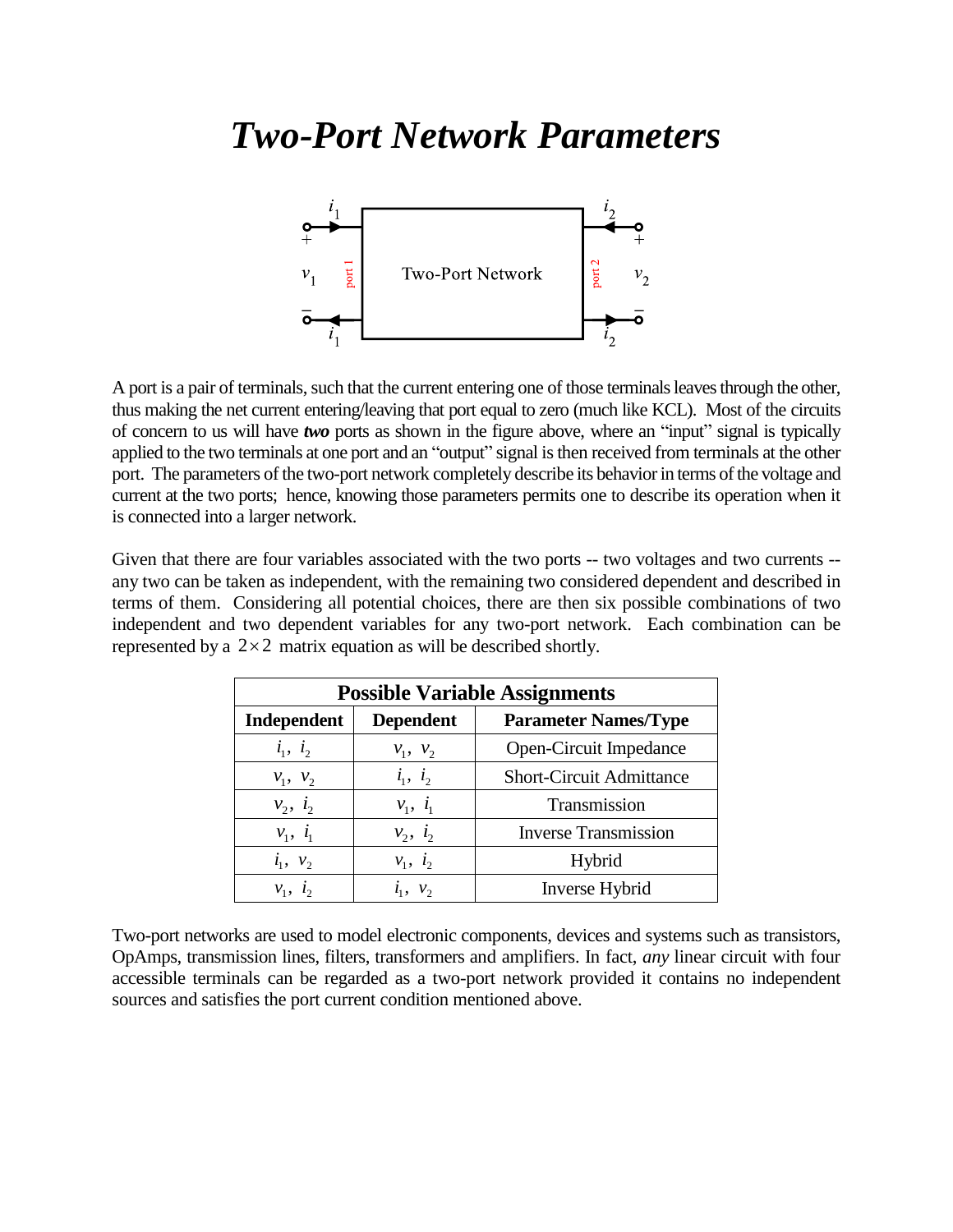# *Two-Port Network Parameters*



A port is a pair of terminals, such that the current entering one of those terminals leaves through the other, thus making the net current entering/leaving that port equal to zero (much like KCL). Most of the circuits of concern to us will have *two* ports as shown in the figure above, where an "input" signal is typically applied to the two terminals at one port and an "output" signal is then received from terminals at the other port. The parameters of the two-port network completely describe its behavior in terms of the voltage and current at the two ports; hence, knowing those parameters permits one to describe its operation when it is connected into a larger network.

Given that there are four variables associated with the two ports -- two voltages and two currents -any two can be taken as independent, with the remaining two considered dependent and described in terms of them. Considering all potential choices, there are then six possible combinations of two independent and two dependent variables for any two-port network. Each combination can be represented by a  $2 \times 2$  matrix equation as will be described shortly.

| <b>Possible Variable Assignments</b> |               |                                 |  |  |  |  |
|--------------------------------------|---------------|---------------------------------|--|--|--|--|
| Independent<br><b>Dependent</b>      |               | <b>Parameter Names/Type</b>     |  |  |  |  |
| $i_1, i_2$                           | $v_1, v_2$    | Open-Circuit Impedance          |  |  |  |  |
| $v_1, v_2$                           | $i_1, i_2$    | <b>Short-Circuit Admittance</b> |  |  |  |  |
| $v_2, i_2$                           | $v_1, i_1$    | Transmission                    |  |  |  |  |
| $v_1, i_1$                           | $v_2$ , $i_2$ | <b>Inverse Transmission</b>     |  |  |  |  |
| $i_1, v_2$                           | $v_1, i_2$    | Hybrid                          |  |  |  |  |
| $v_i$ , $l_i$                        | $i_1, v_2$    | <b>Inverse Hybrid</b>           |  |  |  |  |

Two-port networks are used to model electronic components, devices and systems such as transistors, OpAmps, transmission lines, filters, transformers and amplifiers. In fact, *any* linear circuit with four accessible terminals can be regarded as a two-port network provided it contains no independent sources and satisfies the port current condition mentioned above.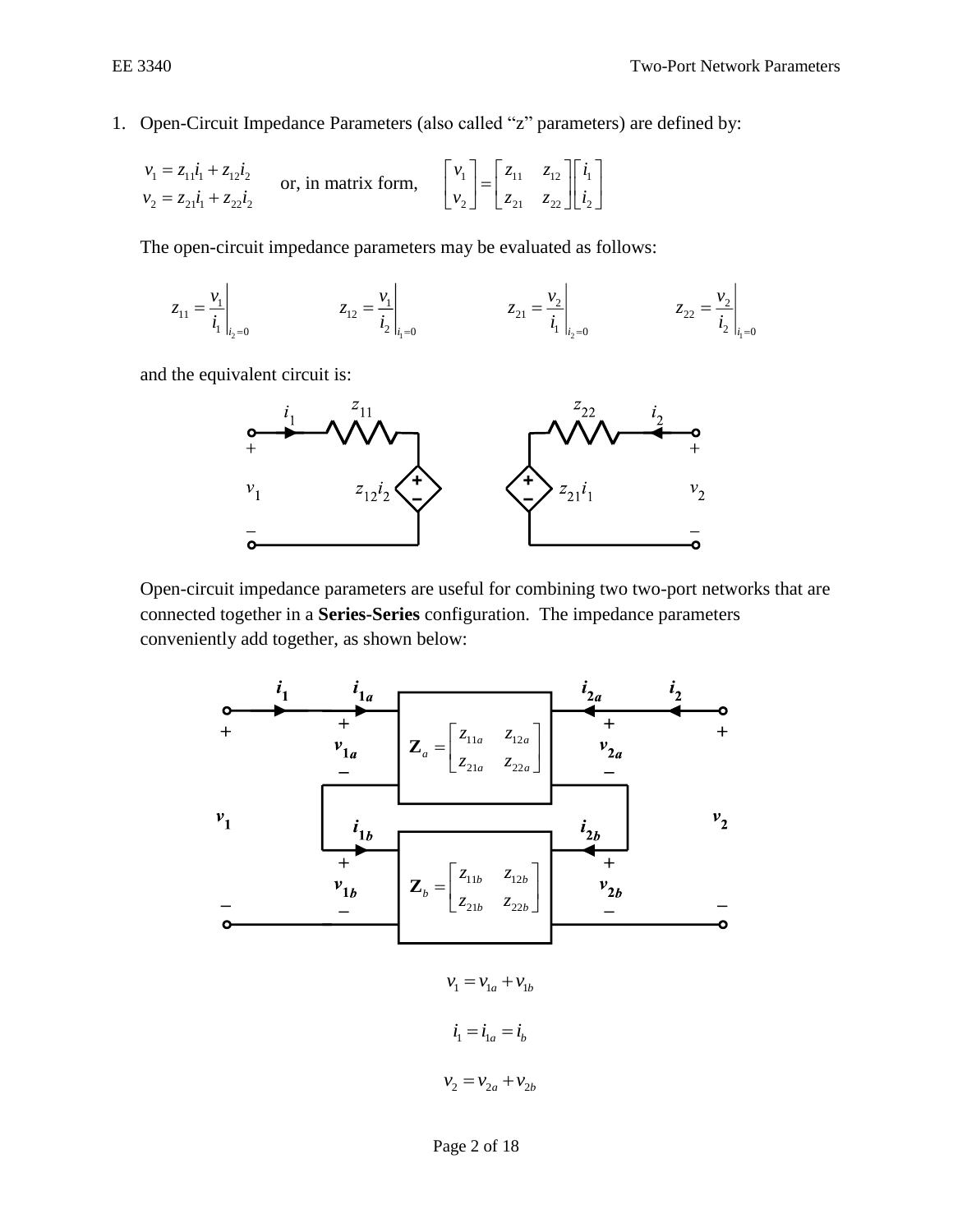1. Open-Circuit Impedance Parameters (also called "z" parameters) are defined by:

$$
\begin{aligned}\nv_1 &= z_{11}\dot{i}_1 + z_{12}\dot{i}_2\\
v_2 &= z_{21}\dot{i}_1 + z_{22}\dot{i}_2\n\end{aligned}\n\quad \text{or, in matrix form,}\n\quad\n\begin{bmatrix}\nv_1 \\ v_2\n\end{bmatrix}\n=\n\begin{bmatrix}\nz_{11} & z_{12} \\ z_{21} & z_{22}\n\end{bmatrix}\n\begin{bmatrix}\n\dot{i}_1 \\ \dot{i}_2\n\end{bmatrix}
$$

The open-circuit impedance parameters may be evaluated as follows:

$$
z_{11} = \frac{v_1}{i_1}\Big|_{i_2=0} \qquad z_{12} = \frac{v_1}{i_2}\Big|_{i_1=0} \qquad z_{21} = \frac{v_2}{i_1}\Big|_{i_2=0} \qquad z_{22} = \frac{v_2}{i_2}\Big|_{i_1=0}
$$

and the equivalent circuit is:

 $\mathcal{L}$ 



Open-circuit impedance parameters are useful for combining two two-port networks that are connected together in a **Series-Series** configuration. The impedance parameters conveniently add together, as shown below:



 $v_1 = v_{1a} + v_{1b}$  $i_1 = i_{1a} = i_b$  $v_1 = v_{1a} + v_{1b}$ <br>  $i_1 = i_{1a} + i_{1b}$ <br>  $i_1 = i_{1a} = i_b$ <br>  $v_2 = v_{2a} + v_{2b}$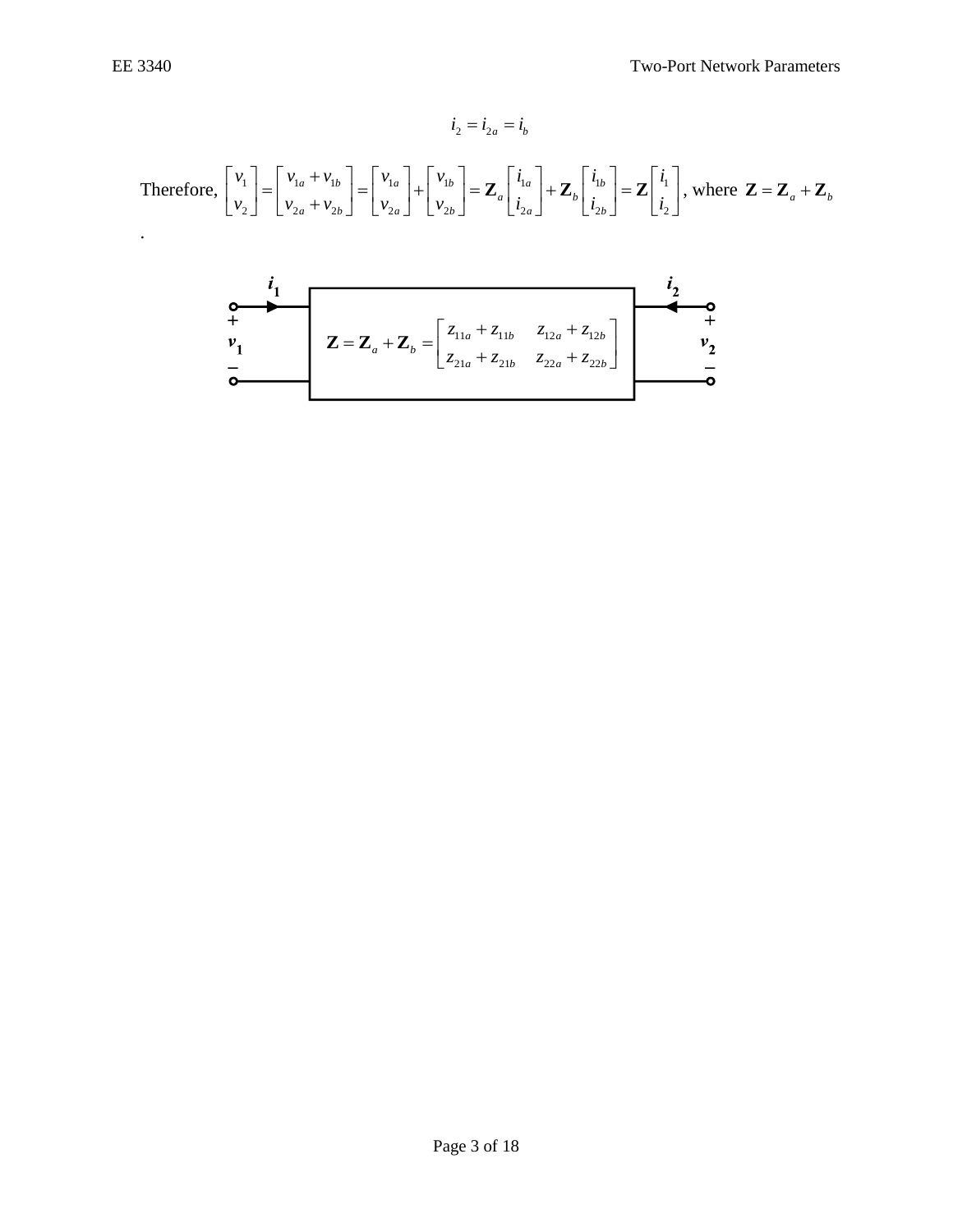O

$$
i_2 = i_{2a} = i_b
$$
\nTherefore,\n
$$
\begin{bmatrix}\nv_1 \\
v_2\n\end{bmatrix} =\n\begin{bmatrix}\nv_{1a} + v_{1b} \\
v_{2a} + v_{2b}\n\end{bmatrix} =\n\begin{bmatrix}\nv_{1a} \\
v_{2a}\n\end{bmatrix} +\n\begin{bmatrix}\nv_{1b} \\
v_{2b}\n\end{bmatrix} =\n\mathbf{Z}_a \begin{bmatrix}\ni_{1a} \\
i_{2a}\n\end{bmatrix} +\n\mathbf{Z}_b \begin{bmatrix}\ni_{1b} \\
i_{2b}\n\end{bmatrix} =\n\mathbf{Z} \begin{bmatrix}\ni_1 \\
i_2\n\end{bmatrix}, \text{ where } \mathbf{Z} = \mathbf{Z}_a + \mathbf{Z}_b
$$
\n
$$
i_1
$$
\n
$$
i_2
$$
\n
$$
i_3
$$
\n
$$
i_4
$$
\n
$$
i_5
$$
\n
$$
i_6
$$
\n
$$
i_7
$$
\n
$$
i_8
$$
\n
$$
i_9
$$
\n
$$
i_{10}
$$
\n
$$
i_{11}
$$
\n
$$
i_{12a} + i_{11b} - i_{12a} + i_{12b} - i_{12b} + i_{12b} - i_{12b} + i_{12b} - i_{12b} + i_{12b} - i_{12b} - i_{12b} + i_{12b} - i_{12b} - i_{12b} - i_{12b} - i_{12b} - i_{12b} - i_{12b} - i_{12b} - i_{12b} - i_{12b} - i_{12b} - i_{12b} - i_{12b} - i_{12b} - i_{12b} - i_{12b} - i_{12b} - i_{12b} - i_{12b} - i_{12b} - i_{12b} - i_{12b} - i_{12b} - i_{12b} - i_{12b} - i_{12b} - i_{12b} - i_{12b} - i_{12b} - i_{12b} - i_{12b} - i_{12b} - i_{12b} - i_{12b} - i_{12b} - i_{12b} - i_{12b} -
$$

*<sup>a</sup> b*

21a + ~21b ~22a + ~22

 $z_{21} + z_{21}$   $z_{22} + z_{22}$ 

*a* **<sup>b</sup>**  $\sim$ 21b  $\sim$ 22a **c**  $\sim$ 22b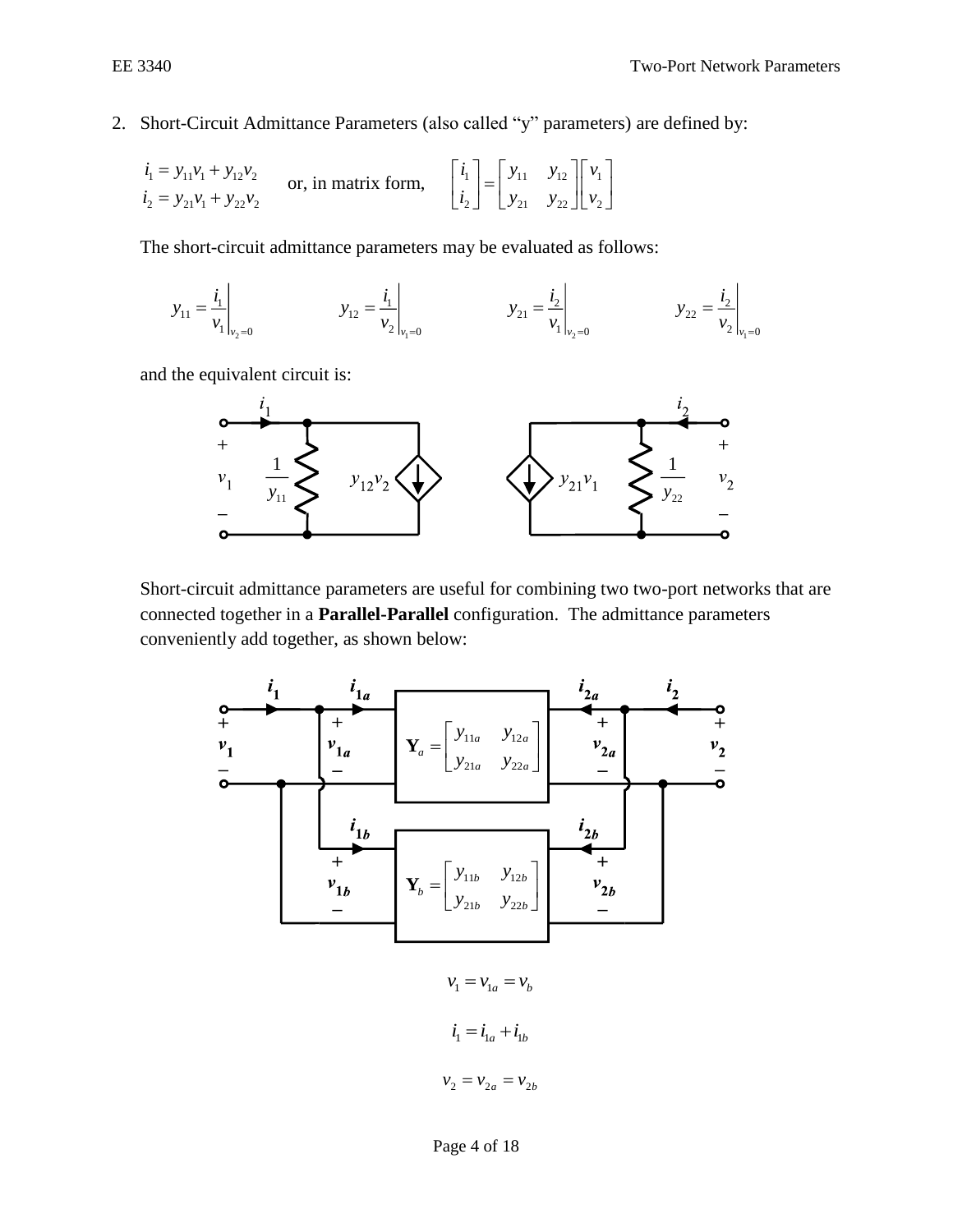2. Short-Circuit Admittance Parameters (also called "y" parameters) are defined by:

$$
\begin{aligned}\ni_1 &= y_{11}v_1 + y_{12}v_2 \\
i_2 &= y_{21}v_1 + y_{22}v_2\n\end{aligned}\n\quad \text{or, in matrix form,}\n\quad\n\begin{bmatrix}\ni_1 \\
i_2\n\end{bmatrix}\n=\n\begin{bmatrix}\ny_{11} & y_{12} \\
y_{21} & y_{22}\n\end{bmatrix}\n\begin{bmatrix}\nv_1 \\
v_2\n\end{bmatrix}
$$

The short-circuit admittance parameters may be evaluated as follows:

$$
y_{11} = \frac{i_1}{v_1}\Big|_{v_2=0}
$$
  $y_{12} = \frac{i_1}{v_2}\Big|_{v_1=0}$   $y_{21} = \frac{i_2}{v_1}\Big|_{v_2=0}$   $y_{22} = \frac{i_2}{v_2}\Big|_{v_1=0}$ 

and the equivalent circuit is:



Short-circuit admittance parameters are useful for combining two two-port networks that are connected together in a **Parallel-Parallel** configuration. The admittance parameters conveniently add together, as shown below:

11 12 21 22 *b b b b b y y y y* = **Y** 11 12 21 22 *a a a a y y y y* = **Y**

 $v_1 = v_{1a} = v_b$  $i_1 = i_{1a} + i_{1b}$  $v_2 = v_{2a} = v_{2b}$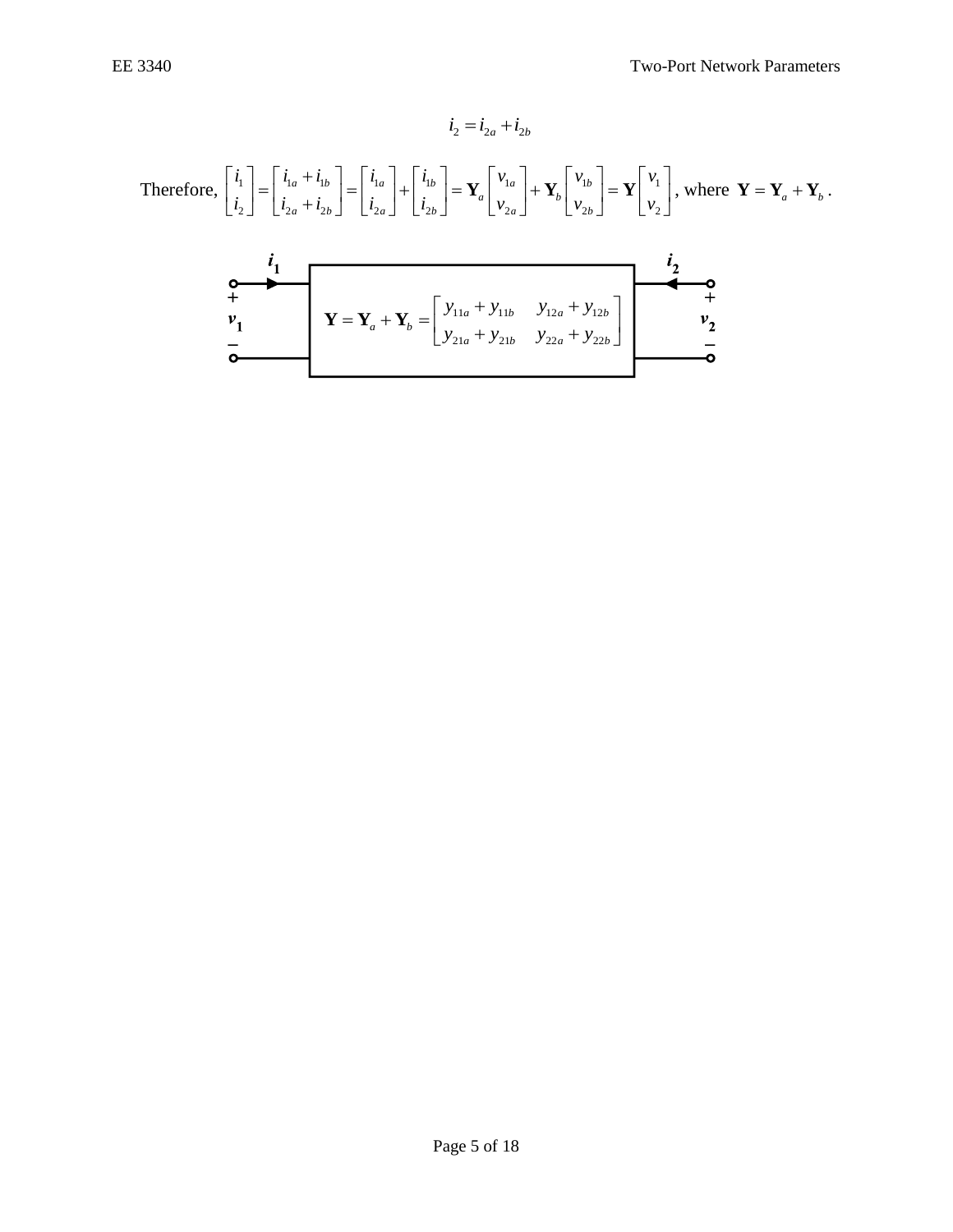$$
i_2 = i_{2a} + i_{2b}
$$
\nTherefore,\n
$$
\begin{bmatrix}\n i_1 \\
 i_2\n\end{bmatrix} =\n\begin{bmatrix}\n i_{1a} + i_{1b} \\
 i_{2a} + i_{2b}\n\end{bmatrix} =\n\begin{bmatrix}\n i_{1a} \\
 i_{2a}\n\end{bmatrix} +\n\begin{bmatrix}\n i_{1b} \\
 i_{2b}\n\end{bmatrix} =\n\mathbf{Y}_a\n\begin{bmatrix}\n v_{1a} \\
 v_{2a}\n\end{bmatrix} +\n\mathbf{Y}_b\n\begin{bmatrix}\n v_{1b} \\
 v_{2b}\n\end{bmatrix} =\n\mathbf{Y}\begin{bmatrix}\n v_1 \\
 v_2\n\end{bmatrix},
$$
\nwhere\n
$$
\mathbf{Y} = \mathbf{Y}_a + \mathbf{Y}_b
$$
\n
$$
\mathbf{Y} = \mathbf{Y}_a + \mathbf{Y}_b =\n\begin{bmatrix}\n y_{11a} + y_{11b} & y_{12a} + y_{12b} \\
 y_{21a} + y_{21b} & y_{22a} + y_{22b}\n\end{bmatrix}
$$
\n
$$
\mathbf{Y} = \mathbf{Y}_a + \mathbf{Y}_b =\n\begin{bmatrix}\n y_{11a} + y_{11b} & y_{12a} + y_{12b} \\
 y_{21a} + y_{21b} & y_{22a} + y_{22b}\n\end{bmatrix}
$$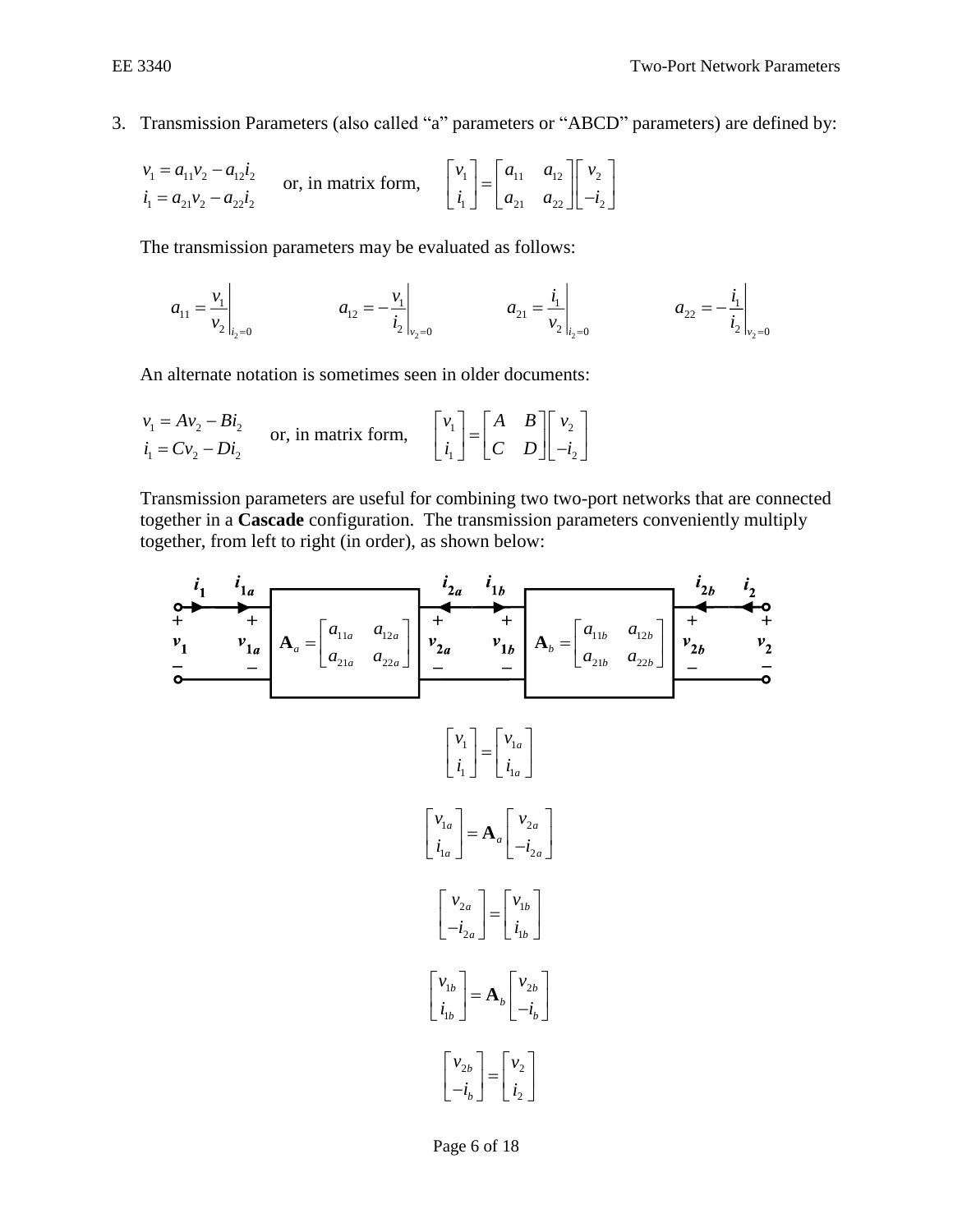$\ddot{\phantom{a}}$ 

3. Transmission Parameters (also called "a" parameters or "ABCD" parameters) are defined by:

$$
v_1 = a_{11}v_2 - a_{12}i_2
$$
  
\n $i_1 = a_{21}v_2 - a_{22}i_2$  or, in matrix form,  $\begin{bmatrix} v_1 \\ i_1 \end{bmatrix} = \begin{bmatrix} a_{11} & a_{12} \\ a_{21} & a_{22} \end{bmatrix} \begin{bmatrix} v_2 \\ -i_2 \end{bmatrix}$ 

The transmission parameters may be evaluated as follows:

$$
a_{11} = \frac{v_1}{v_2}\bigg|_{i_2=0} \qquad a_{12} = -\frac{v_1}{i_2}\bigg|_{v_2=0} \qquad a_{21} = \frac{i_1}{v_2}\bigg|_{i_2=0} \qquad a_{22} = -\frac{i_1}{i_2}\bigg|_{v_2=0}
$$

An alternate notation is sometimes seen in older documents:

$$
\begin{aligned}\nv_1 &= A v_2 - B i_2 \\
i_1 &= C v_2 - D i_2\n\end{aligned}\n\quad \text{or, in matrix form,}\n\quad\n\begin{bmatrix}\nv_1 \\
i_1\n\end{bmatrix}\n=\n\begin{bmatrix}\nA & B \\
C & D\n\end{bmatrix}\n\begin{bmatrix}\nv_2 \\
-i_2\n\end{bmatrix}
$$

Transmission parameters are useful for combining two two-port networks that are connected together in a **Cascade** configuration. The transmission parameters conveniently multiply together, from left to right (in order), as shown below:



Page 6 of 18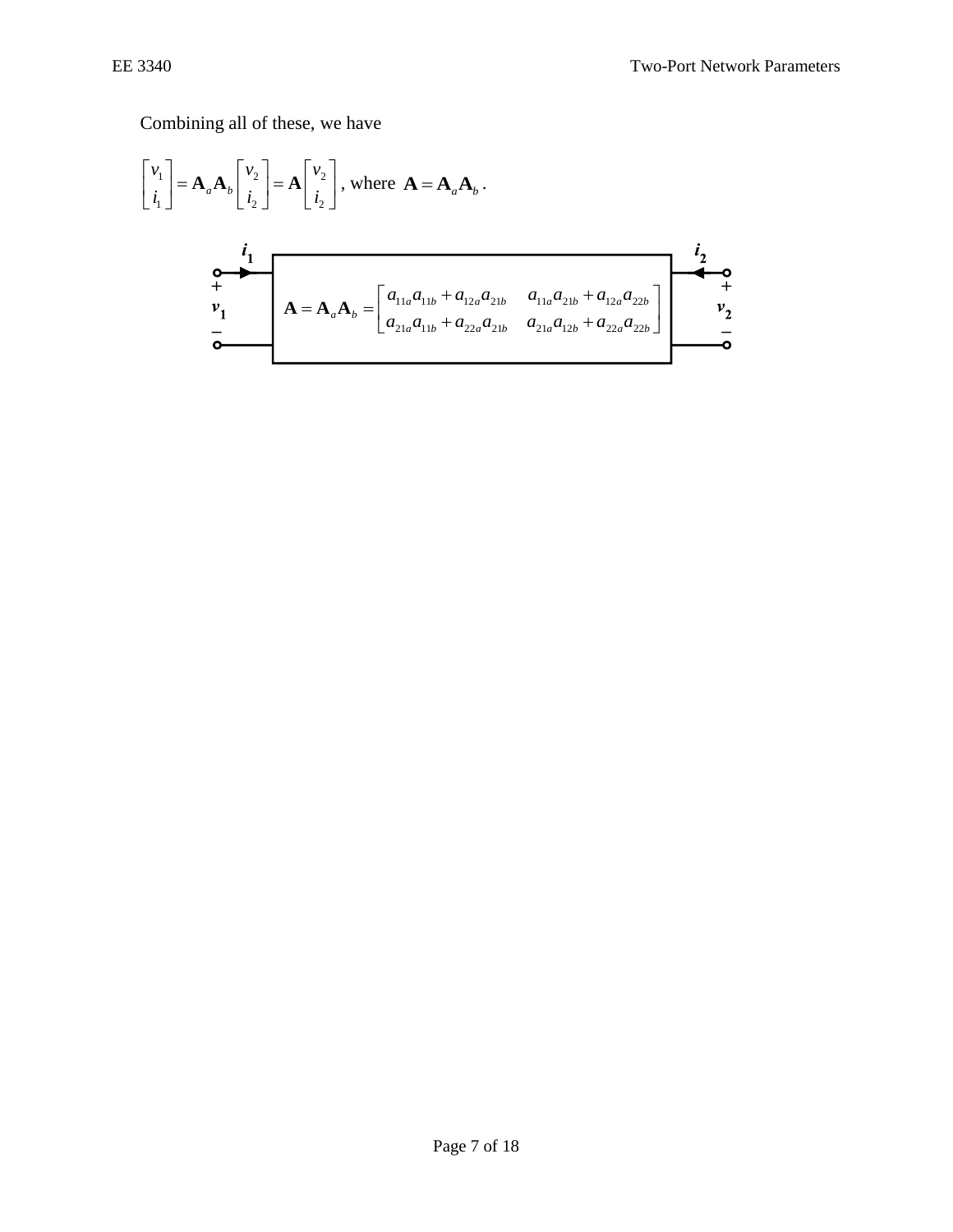Combining all of these, we have

$$
\begin{bmatrix} v_1 \\ i_1 \end{bmatrix} = \mathbf{A}_a \mathbf{A}_b \begin{bmatrix} v_2 \\ i_2 \end{bmatrix} = \mathbf{A} \begin{bmatrix} v_2 \\ i_2 \end{bmatrix}, \text{ where } \mathbf{A} = \mathbf{A}_a \mathbf{A}_b.
$$
  
\n
$$
\begin{bmatrix} \mathbf{i}_1 \\ \mathbf{v}_1 \\ \mathbf{v}_1 \\ \mathbf{v}_2 \end{bmatrix} = \mathbf{A} \begin{bmatrix} \mathbf{i}_2 \\ \mathbf{i}_2 \end{bmatrix}, \text{ where } \mathbf{A} = \mathbf{A}_a \mathbf{A}_b.
$$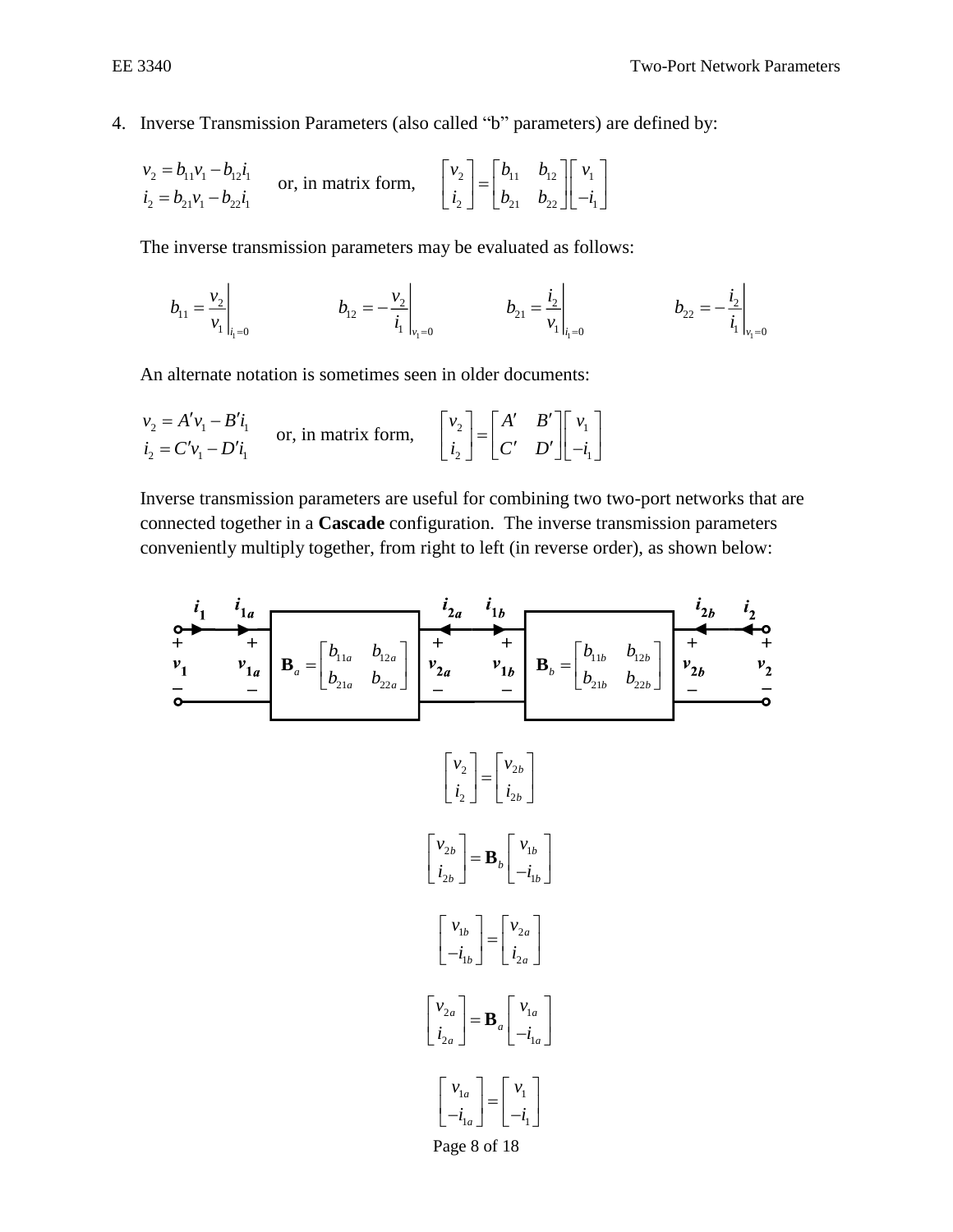$\mathbf{r}$ 

4. Inverse Transmission Parameters (also called "b" parameters) are defined by:

$$
\begin{aligned}\nv_2 &= b_{11}v_1 - b_{12}i_1 \\
i_2 &= b_{21}v_1 - b_{22}i_1\n\end{aligned}\n\quad \text{or, in matrix form,}\n\quad\n\begin{bmatrix}\nv_2 \\
i_2\n\end{bmatrix}\n=\n\begin{bmatrix}\nb_{11} & b_{12} \\
b_{21} & b_{22}\n\end{bmatrix}\n\begin{bmatrix}\nv_1 \\
-i_1\n\end{bmatrix}
$$

The inverse transmission parameters may be evaluated as follows:

 $\ddot{\phantom{a}}$ 

$$
b_{11} = \frac{v_2}{v_1}\bigg|_{i_1=0} \qquad b_{12} = -\frac{v_2}{i_1}\bigg|_{v_1=0} \qquad b_{21} = \frac{i_2}{v_1}\bigg|_{i_1=0} \qquad b_{22} = -\frac{i_2}{i_1}\bigg|_{v_1=0}
$$

An alternate notation is sometimes seen in older documents:

$$
\begin{aligned}\nv_2 &= A'v_1 - B'i_1 \\
i_2 &= C'v_1 - D'i_1\n\end{aligned}\n\quad \text{or, in matrix form,}\n\quad\n\begin{bmatrix}\nv_2 \\
i_2\n\end{bmatrix}\n=\n\begin{bmatrix}\nA' & B' \\
C' & D'\n\end{bmatrix}\n\begin{bmatrix}\nv_1 \\
-i_1\n\end{bmatrix}
$$

Inverse transmission parameters are useful for combining two two-port networks that are connected together in a **Cascade** configuration. The inverse transmission parameters conveniently multiply together, from right to left (in reverse order), as shown below:

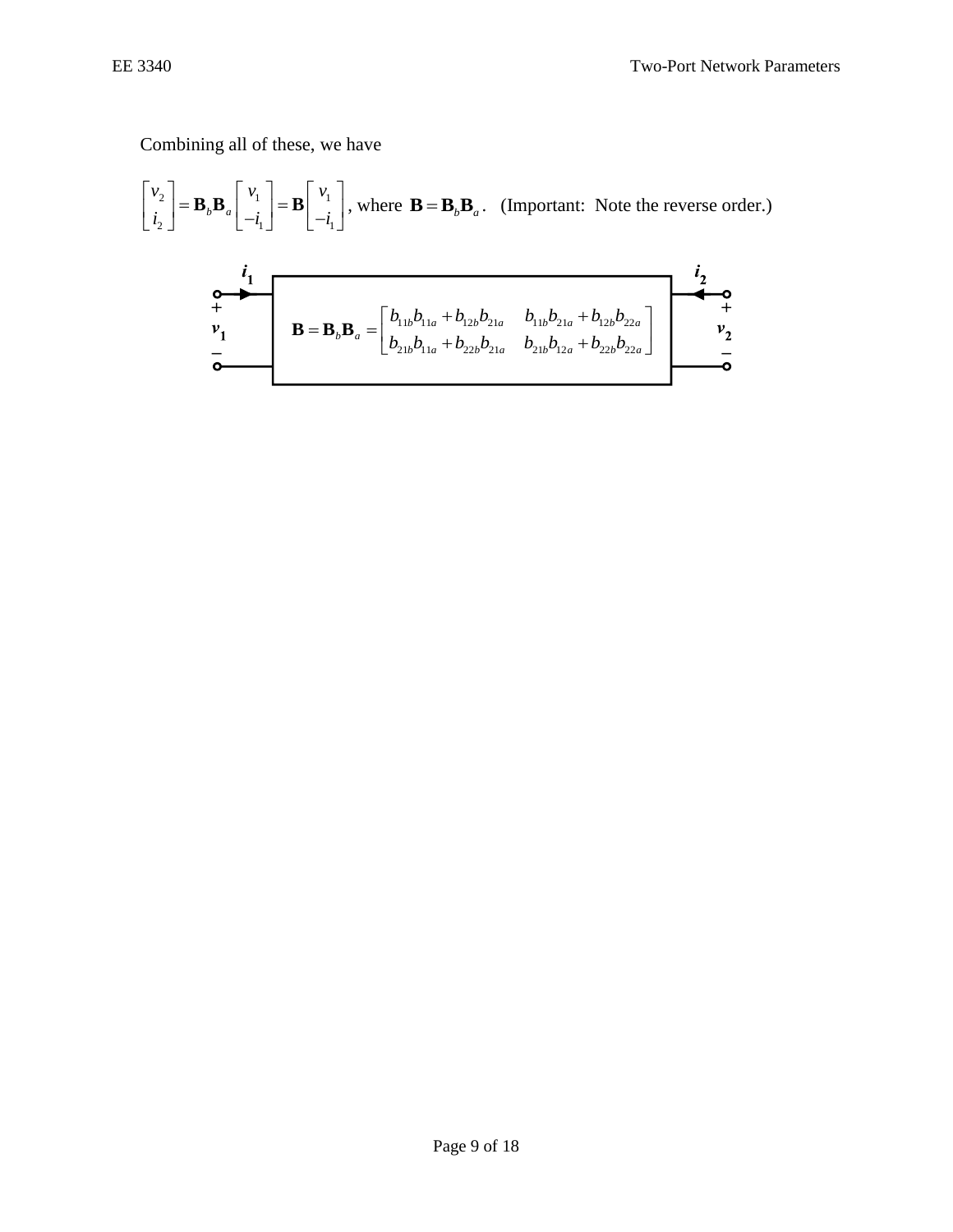Combining all of these, we have

 $2 + n n!$  1 1  $n!$  1 2 1 1 *b a*  $v_{\circ}$  |  $v_{\circ}$  |  $v_{\circ}$  |  $v_{\circ}$  $i_{\circ}$  |  $\qquad \qquad$   $\vert -i_{\circ} \vert$  |  $-i_{\circ}$  $\begin{bmatrix} v_2 \end{bmatrix}$   $\longrightarrow$   $\begin{bmatrix} v_1 \end{bmatrix}$   $\longrightarrow$   $\begin{bmatrix} v_1 \end{bmatrix}$  $\begin{bmatrix} 1 \\ i_2 \end{bmatrix} = \mathbf{B}_b \mathbf{B}_a \begin{bmatrix} 1 \\ -i_1 \end{bmatrix} = \mathbf{B} \begin{bmatrix} 1 \\ -i_1 \end{bmatrix}$ , where  $\mathbf{B} = \mathbf{B}_b \mathbf{B}_a$ . (Important: Note the reverse order.)

$$
\begin{array}{c}\n i_1 \\
 + \\
 v_1 \\
 \hline\n 0\n\end{array}\n\qquad\n\begin{bmatrix}\n b_{11b}b_{11a} + b_{12b}b_{21a} & b_{11b}b_{21a} + b_{12b}b_{22a} \\
 b_{21b}b_{11a} + b_{22b}b_{21a} & b_{21b}b_{12a} + b_{22b}b_{22a}\n\end{bmatrix}
$$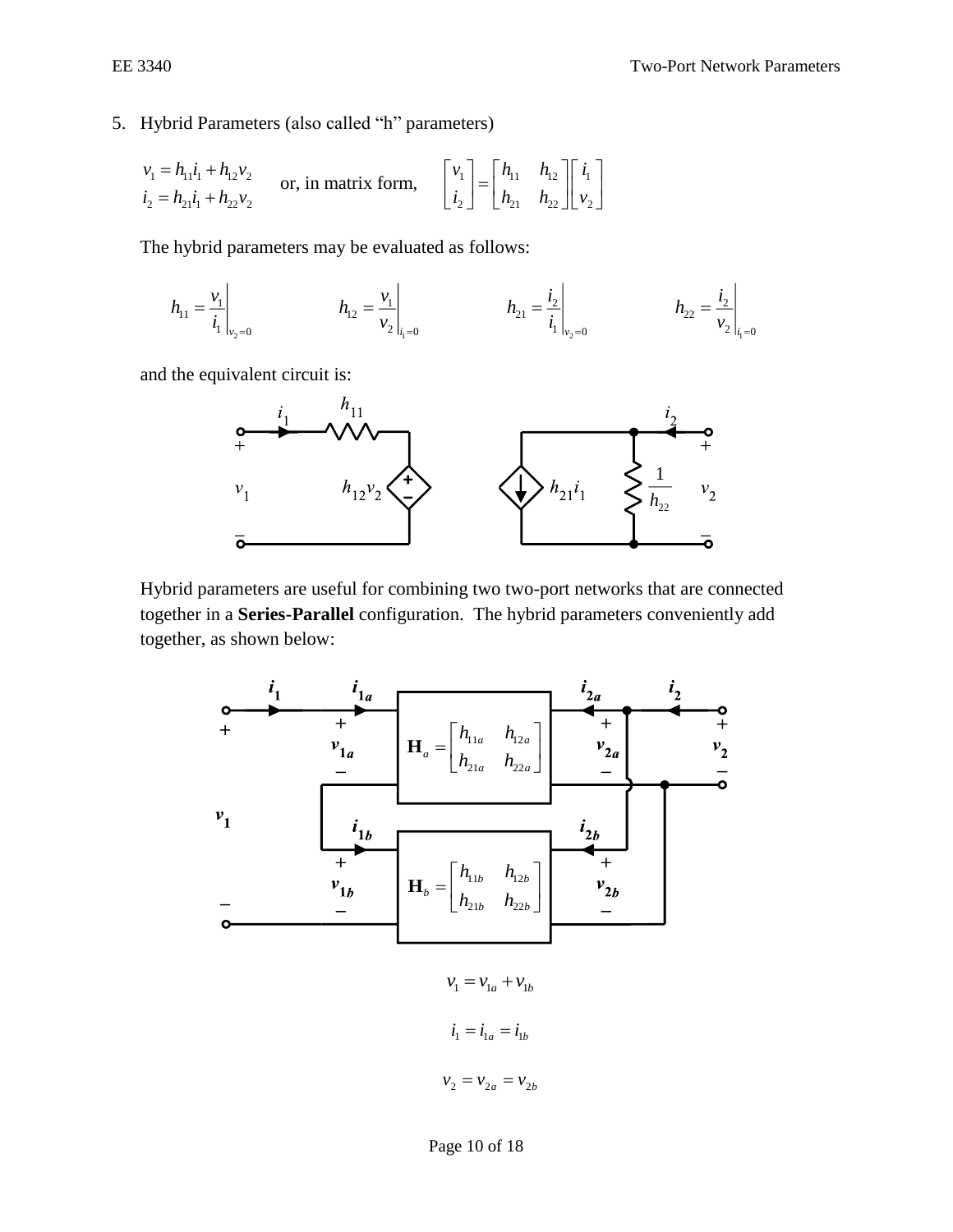## 5. Hybrid Parameters (also called "h" parameters)

$$
v_1 = h_{11}i_1 + h_{12}v_2
$$
  
\n $i_2 = h_{21}i_1 + h_{22}v_2$  or, in matrix form,  $\begin{bmatrix} v_1 \\ i_2 \end{bmatrix} = \begin{bmatrix} h_{11} & h_{12} \\ h_{21} & h_{22} \end{bmatrix} \begin{bmatrix} i_1 \\ i_2 \end{bmatrix}$ 

The hybrid parameters may be evaluated as follows:

$$
h_{11} = \frac{v_1}{i_1}\bigg|_{v_2=0} \qquad \qquad h_{12} = \frac{v_1}{v_2}\bigg|_{i_1=0} \qquad \qquad h_{21} = \frac{i_2}{i_1}\bigg|_{v_2=0} \qquad \qquad h_{22} = \frac{i_2}{v_2}\bigg|_{i_1=0}
$$

and the equivalent circuit is:



Hybrid parameters are useful for combining two two-port networks that are connected together in a **Series-Parallel** configuration. The hybrid parameters conveniently add together, as shown below:

11 12 21 22 *b b b b b h h h h* = **H** 11 12 21 22 *a a a a a h h h h* **H**

 $v_1 = v_{1a} + v_{1b}$  $i_1 = i_{1a} = i_{1b}$  $v_2 = v_{2a} = v_{2b}$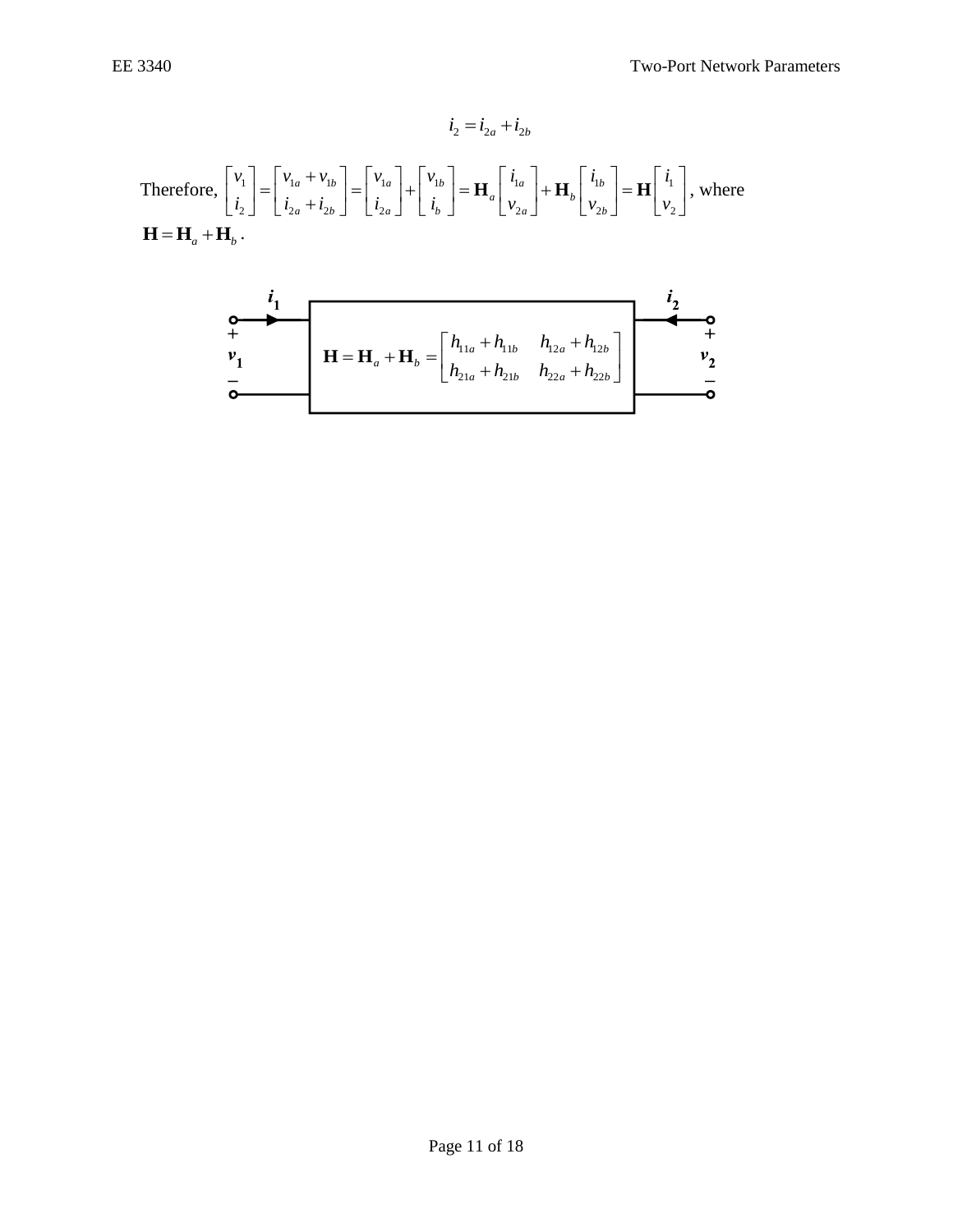$$
\vec{i}_2 = \vec{i}_{2a} + \vec{i}_{2b}
$$
  
Therefore, 
$$
\begin{bmatrix} v_1 \\ \vec{i}_2 \end{bmatrix} = \begin{bmatrix} v_{1a} + v_{1b} \\ \vec{i}_{2a} + \vec{i}_{2b} \end{bmatrix} = \begin{bmatrix} v_{1a} \\ \vec{i}_{2a} \end{bmatrix} + \begin{bmatrix} v_{1b} \\ \vec{i}_b \end{bmatrix} = \mathbf{H}_a \begin{bmatrix} \vec{i}_{1a} \\ v_{2a} \end{bmatrix} + \mathbf{H}_b \begin{bmatrix} \vec{i}_{1b} \\ v_{2b} \end{bmatrix} = \mathbf{H} \begin{bmatrix} \vec{i}_1 \\ v_2 \end{bmatrix}, \text{ where}
$$

$$
\mathbf{H} = \mathbf{H}_a + \mathbf{H}_b.
$$

$$
\begin{array}{c}\n i_1 \\
 + \\
 v_1 \\
 - \\
 \end{array}\n \qquad\n \mathbf{H} = \mathbf{H}_a + \mathbf{H}_b = \begin{bmatrix}\n h_{11a} + h_{11b} & h_{12a} + h_{12b} \\
 h_{21a} + h_{21b} & h_{22a} + h_{22b}\n \end{bmatrix}
$$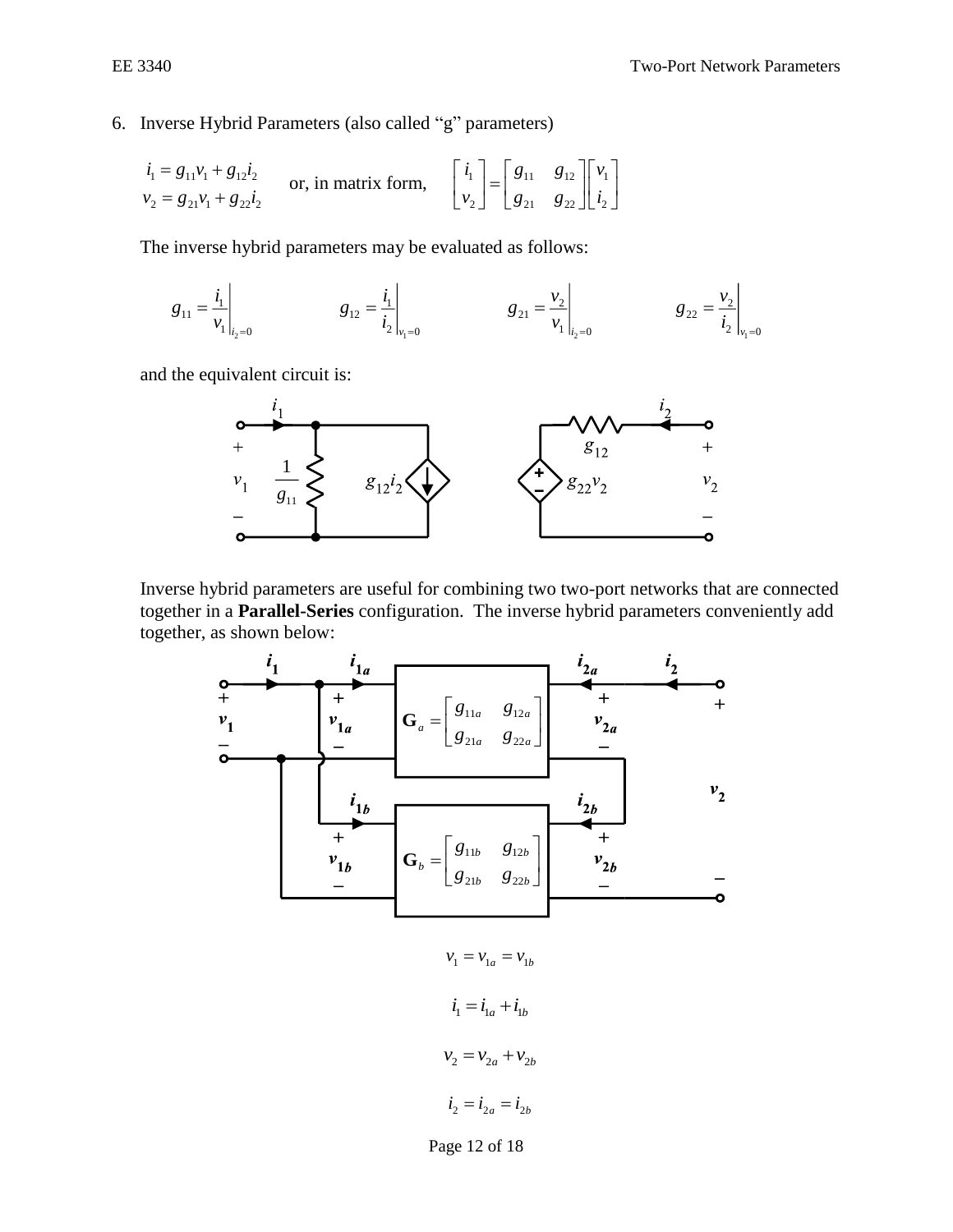6. Inverse Hybrid Parameters (also called "g" parameters)

$$
\begin{aligned}\ni_1 &= g_{11}v_1 + g_{12}i_2\\
v_2 &= g_{21}v_1 + g_{22}i_2\n\end{aligned}\n\quad \text{or, in matrix form,}\n\quad\n\begin{bmatrix}\ni_1\\
v_2\n\end{bmatrix}\n=\n\begin{bmatrix}\ng_{11} & g_{12}\\
g_{21} & g_{22}\n\end{bmatrix}\n\begin{bmatrix}\nv_1\\
i_2\n\end{bmatrix}
$$

The inverse hybrid parameters may be evaluated as follows:

$$
g_{11} = \frac{i_1}{v_1}\Big|_{i_2=0}
$$
  $g_{12} = \frac{i_1}{i_2}\Big|_{v_1=0}$   $g_{21} = \frac{v_2}{v_1}\Big|_{i_2=0}$   $g_{22} = \frac{v_2}{i_2}\Big|_{v_1=0}$ 

 $\mathcal{L}$ 

and the equivalent circuit is:



Inverse hybrid parameters are useful for combining two two-port networks that are connected together in a **Parallel-Series** configuration. The inverse hybrid parameters conveniently add together, as shown below:

11 12 21 22 *b b b b b g g g g* = **G** 11 12 21 22 *a a a a g g g g* = **G**

 $v_1 = v_{1a} = v_{1b}$  $i_1 = i_{1a} + i_{1b}$  $v_2 = v_{2a} + v_{2b}$  $i_2 = i_{2a} = i_{2b}$ 

Page 12 of 18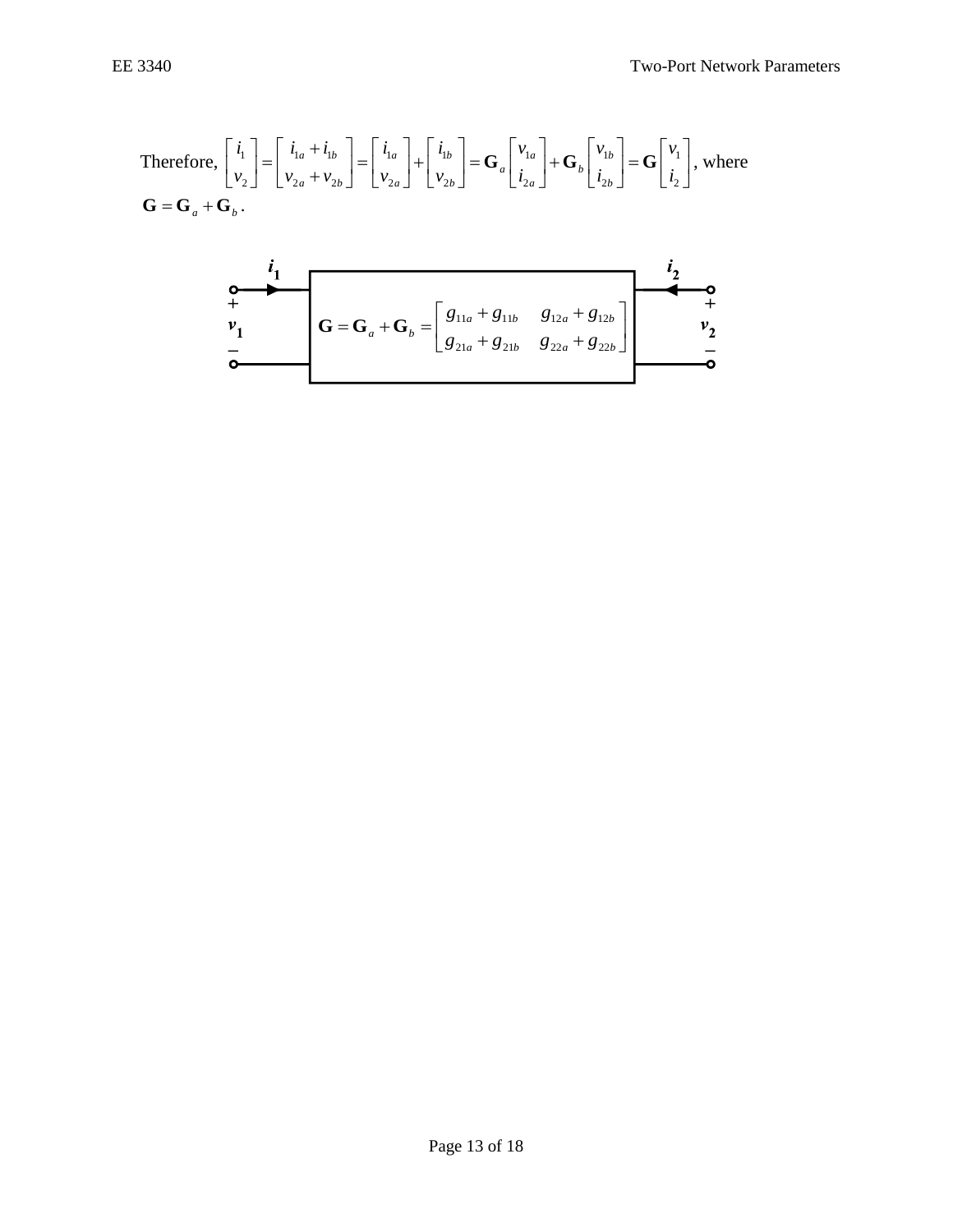Therefore, 
$$
\begin{bmatrix} i_1 \\ v_2 \end{bmatrix} = \begin{bmatrix} i_{1a} + i_{1b} \\ v_{2a} + v_{2b} \end{bmatrix} = \begin{bmatrix} i_{1a} \\ v_{2a} \end{bmatrix} + \begin{bmatrix} i_{1b} \\ v_{2b} \end{bmatrix} = \mathbf{G}_a \begin{bmatrix} v_{1a} \\ i_{2a} \end{bmatrix} + \mathbf{G}_b \begin{bmatrix} v_{1b} \\ i_{2b} \end{bmatrix} = \mathbf{G} \begin{bmatrix} v_1 \\ i_2 \end{bmatrix}
$$
, where  $\mathbf{G} = \mathbf{G}_a + \mathbf{G}_b$ .

$$
\begin{array}{c|c}\n i_1 \\
 + \\
 v_1 \\
 \hline\n 0\n\end{array}\n\qquad\nG = G_a + G_b = \begin{bmatrix}\n g_{11a} + g_{11b} & g_{12a} + g_{12b} \\
 g_{21a} + g_{21b} & g_{22a} + g_{22b}\n\end{bmatrix}
$$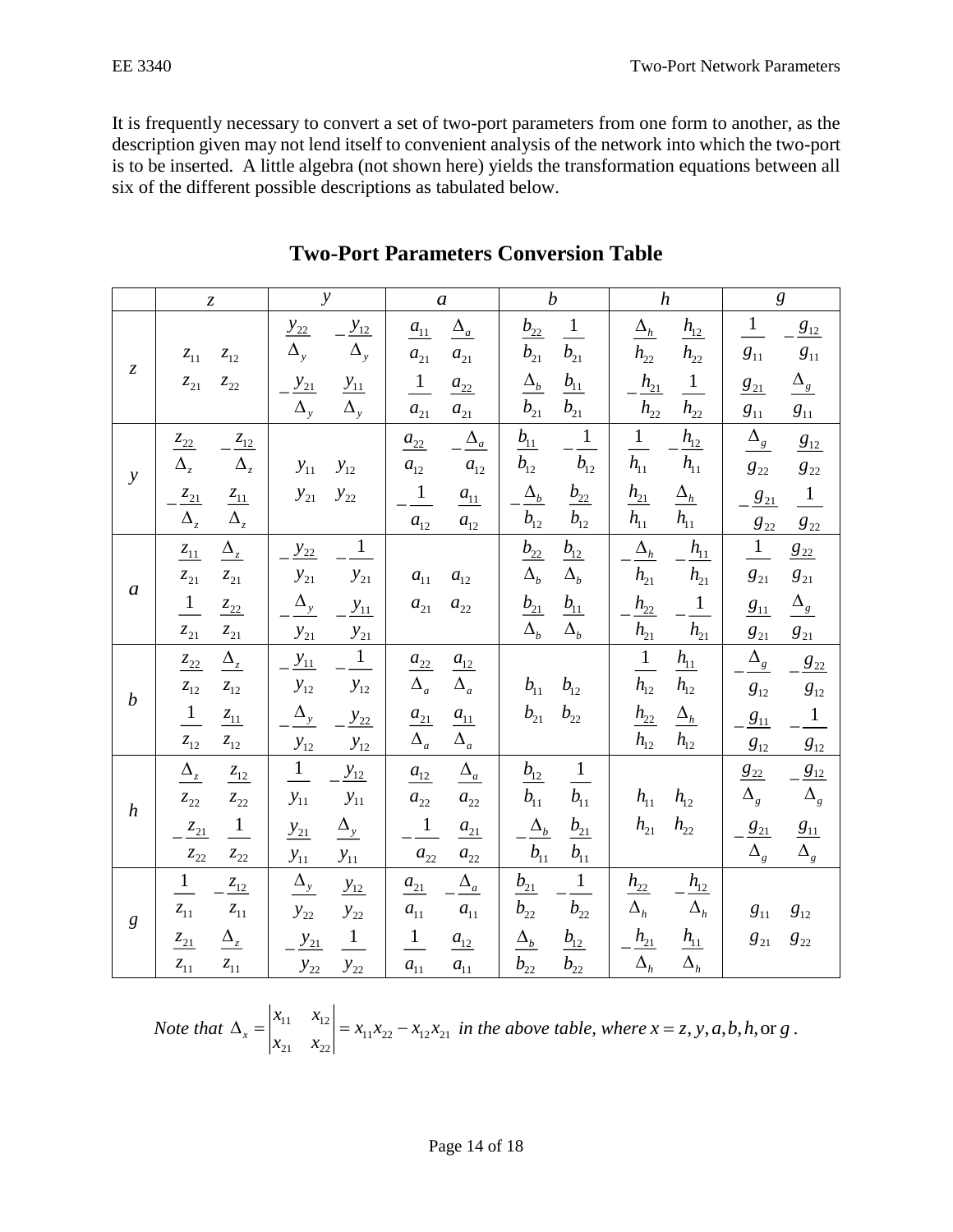It is frequently necessary to convert a set of two-port parameters from one form to another, as the description given may not lend itself to convenient analysis of the network into which the two-port is to be inserted. A little algebra (not shown here) yields the transformation equations between all six of the different possible descriptions as tabulated below.

|                               | $\ensuremath{\mathnormal{Z}}$                                                                                                                                              | $\overline{y}$                                                                                                        | $\boldsymbol{a}$                                                                                                          | $\boldsymbol{b}$                                                                                                                             | $\boldsymbol{h}$                                                                                                                                      | $\boldsymbol{g}$                                                                                                                                   |
|-------------------------------|----------------------------------------------------------------------------------------------------------------------------------------------------------------------------|-----------------------------------------------------------------------------------------------------------------------|---------------------------------------------------------------------------------------------------------------------------|----------------------------------------------------------------------------------------------------------------------------------------------|-------------------------------------------------------------------------------------------------------------------------------------------------------|----------------------------------------------------------------------------------------------------------------------------------------------------|
| $\ensuremath{\mathnormal{Z}}$ | $z_{11}$<br>$\mathcal{Z}_{12}$<br>$\mathcal{Z}_{21}$<br>$z_{22}$                                                                                                           | $\frac{y_{12}}{\Delta_y}$<br>$y_{22}$<br>$\Delta_{y}$<br>$y_{21}$<br>$y_{11}$                                         | $\Delta_a$<br>$a_{11}$<br>$a_{21}$<br>$a_{21}$<br>$\frac{1}{ }$<br>$a_{22}$                                               | $\frac{1}{\sqrt{1}}$<br>$b_{22}$<br>$\overline{b_{21}}$<br>$b_{21}$<br>$b_{11}$<br>$\Delta_b$                                                | $\Delta_h$<br>$h_{12}$<br>$h_{22}$<br>$h_{22}$<br>$h_{21}$<br>$\frac{1}{\sqrt{2}}$                                                                    | $\mathbf{1}$<br>$g_{12}$<br>$g_{11}$<br>$g_{11}$<br>$\Delta_{\underline{s}}$<br>$g_{21}$                                                           |
| $\mathbf{y}$                  | $\frac{z_{12}}{z_{12}}$<br>$\frac{Z_{22}}{Z_{22}}$<br>$\Delta_z$<br>$\tilde{\Delta}_z$<br>$-\frac{z_{21}}{\Delta_z}$<br>$\underline{\mathcal{Z}_{11}}$                     | $\Delta_{y}$<br>$\Delta_{y}$<br>$y_{11}$<br>$y_{12}$<br>$y_{21}$<br>$y_{22}$                                          | $a_{21}$<br>$a_{21}$<br>$\Delta_a$<br>$a_{22}$<br>$a_{12}$<br>$a_{12}$<br>$\frac{1}{\sqrt{2}}$<br>$a_{11}$                | $b_{21}$<br>$b_{21}$<br>$-\frac{1}{b_{12}}$<br>$b_{11}$<br>$b_{12}$<br>$\underline{\Delta_b}$<br>$b_{22}$                                    | $\overline{h_{22}}$<br>$h_{22}$<br>$h_{12}$<br>$\overline{1}$<br>$\overline{h_{11}}$<br>$h_{11}$<br>$\frac{h_{21}}{h_{11}}$<br>$\underline{\Delta_h}$ | $g_{\rm 11}$<br>$g_{11}$<br>$\Delta_{\rm g}$<br>$\frac{g_{12}}{g_{22}}$<br>$g_{22}$<br>$g_{22}$<br>$\frac{1}{\sqrt{2}}$<br>$\frac{g_{21}}{g_{21}}$ |
| $\boldsymbol{a}$              | $\Delta_z$<br>$\Delta_z$<br>$\frac{Z_{11}}{Z_{12}}$<br>$z_{21}$<br>$\bar{z}_{21}$<br>$\overline{1}$<br>$\frac{Z_{22}}{Z_{22}}$<br>$\mathcal{Z}_{21}$<br>$\mathcal{Z}_{21}$ | $\mathbf{1}$<br>$y_{22}$<br>$y_{21}$<br>$y_{21}$<br>$\Delta_{\rm y}$<br>$y_{11}$<br>$y_{21}$                          | $a_{12}$<br>$a_{12}$<br>$a_{11}$<br>$a_{12}$<br>$\boldsymbol{a}_{21}$<br>$\boldsymbol{a}_{22}$                            | $b_{12}$<br>$b_{12}$<br>$\frac{b_{12}}{\Delta_b}$<br>$\underline{b_{22}}$<br>$\Delta_b$<br>$b_{11}$<br>$b_{21}$<br>$\Delta_b$<br>$\Lambda_b$ | $\overline{h_{11}}$<br>$\Delta_h$<br>$h_{11}$<br>$\overline{h_{21}}$<br>$h_{21}$<br>$\,1\,$<br>$h_{22}$<br>$\overline{h_{21}}$<br>$h_{21}$            | $g_{22}$<br>$g_{22}$<br>$\frac{1}{\sqrt{2}}$<br>$g_{22}$<br>$g_{21}$<br>$g_{\rm 21}$<br>$\Delta_{\rm g}$<br>$g_{11}$<br>$g_{21}$<br>$g_{21}$       |
| $\boldsymbol{b}$              | $\Delta_z$<br>$z_{22}$<br>$\mathcal{Z}_{12}$<br>$\mathcal{Z}_{12}$<br>$\frac{1}{\sqrt{2}}$<br>$\frac{Z_{11}}{Z_{12}}$<br>$\mathcal{Z}_{12}$<br>$z_{12}$                    | $\frac{y_{21}}{1}$<br>$y_{11}$<br>$y_{12}$<br>$y_{12}$<br>$\Delta_{y}$<br>$y_{22}$<br>$y_{12}$<br>$y_{12}$            | $\frac{a_{22}}{\Delta_a}$<br>$a_{12}$<br>$\Delta_a$<br>$\frac{a_{21}}{\Delta_a}$<br>$\frac{a_{11}}{a_{11}}$<br>$\Delta_a$ | $b_{12}$<br>$b_{11}$<br>$b_{22}$<br>$b_{21}$                                                                                                 | $\frac{1}{h_{12}}$<br>$h_{11}$<br>$h_{12}$<br>$h_{22}$<br>$\Delta_h$<br>$h_{12}$<br>$h_{12}$                                                          | $\Delta_{\textit{g}}$<br>$ 8_{22}$<br>$g_{\scriptscriptstyle{12}}$<br>$g_{12}$<br>$\overline{1}$<br>$g_{11}$<br>$g_{12}$<br>$g_{12}$               |
| $\boldsymbol{h}$              | $\Delta_z$<br>$\frac{z_{12}}{z_{12}}$<br>$\bar{z}_{22}$<br>$z_{22}$<br>$\frac{z_{21}}{z_{21}}$<br>$\frac{1}{\sqrt{2}}$<br>$\bar{z}_{22}$<br>$z_{22}$                       | $\frac{1}{\sqrt{2}}$<br>$y_{12}$<br>$y_{11}$<br>$y_{11}$<br>$\Delta_{y}$<br>$y_{21}$<br>$y_{11}$<br>$y_{11}$          | $\Delta_a$<br>$a_{12}$<br>$a_{22}$<br>$a_{22}$<br>$\frac{1}{\sqrt{2}}$<br>$a_{21}$<br>$a_{22}$<br>$a_{22}$                | $\frac{1}{ }$<br>$b_{12}$<br>$\overline{b_{11}}$<br>$b_{11}$<br>$\Delta_b$<br>$b_{21}$<br>$b_{11}$<br>$b_{\scriptscriptstyle 11}$            | $h_{11}$<br>$h_{12}$<br>$h_{21}$<br>$h_{22}$                                                                                                          | $g_{12}$<br>$8_{22}$<br>$\bar{\Delta}_g$<br>$\Delta_g$<br>$g_{21}$<br>$g_{11}$<br>$\overline{\Delta}_g$<br>$\Delta_{_g}$                           |
| $\boldsymbol{g}$              | $\overline{1}$<br>$\frac{z_{12}}{z_{12}}$<br>$z_{11}$<br>$z_{11}$<br>$\Delta_z$<br>$\frac{Z_{21}}{Z_{21}}$<br>$z_{11}$<br>$\bar{z}_{11}$                                   | $\Delta_{y}$<br>$y_{12}$<br>$y_{22}$<br>$y_{22}$<br>$\overline{1}$<br>$\frac{y_{21}}{x_{21}}$<br>$y_{22}$<br>$y_{22}$ | $\Delta_a$<br>$a_{21}$<br>$a_{11}$<br>$a_{11}$<br>$\overline{1}$<br>$\frac{a_{12}}{a_{12}}$<br>$a_{11}$<br>$a_{11}$       | $\mathbf{1}$<br>$b_{21}$<br>$b_{22}$<br>$b_{22}$<br>$\Delta_b$<br>$b_{12}$<br>$b_{22}$<br>$b_{22}$                                           | $h_{22}$<br>$h_{12}$<br>$\Delta_h$<br>$\Delta_h$<br>$h_{21}$<br>$h_{11}$<br>$\overline{\Delta}_h$<br>$\Delta_h$                                       | $g_{11}$<br>$g_{12}$<br>$g_{\rm 21}$<br>$g_{\rm 22}$                                                                                               |

## **Two-Port Parameters Conversion Table**

*Note that*  $\Delta_{r} = \begin{vmatrix} x_{11} & x_{12} \\ x_{21} & x_{22} \end{vmatrix}$  $11^{11}22$   $12^{12}21$  $x_2$   $x_2$  $x<sub>i</sub>$ ,  $x<sub>j</sub>$  $x_i, x_{i_0} - x_{i_0}x$ *x x*  $\Delta_x = \begin{bmatrix} 1 & 0 & 0 \\ 0 & 0 & 0 \end{bmatrix} = x_{11}x_{22} - x_{12}x_{21}$  in the above table, where  $x = z, y, a, b, h,$  or g.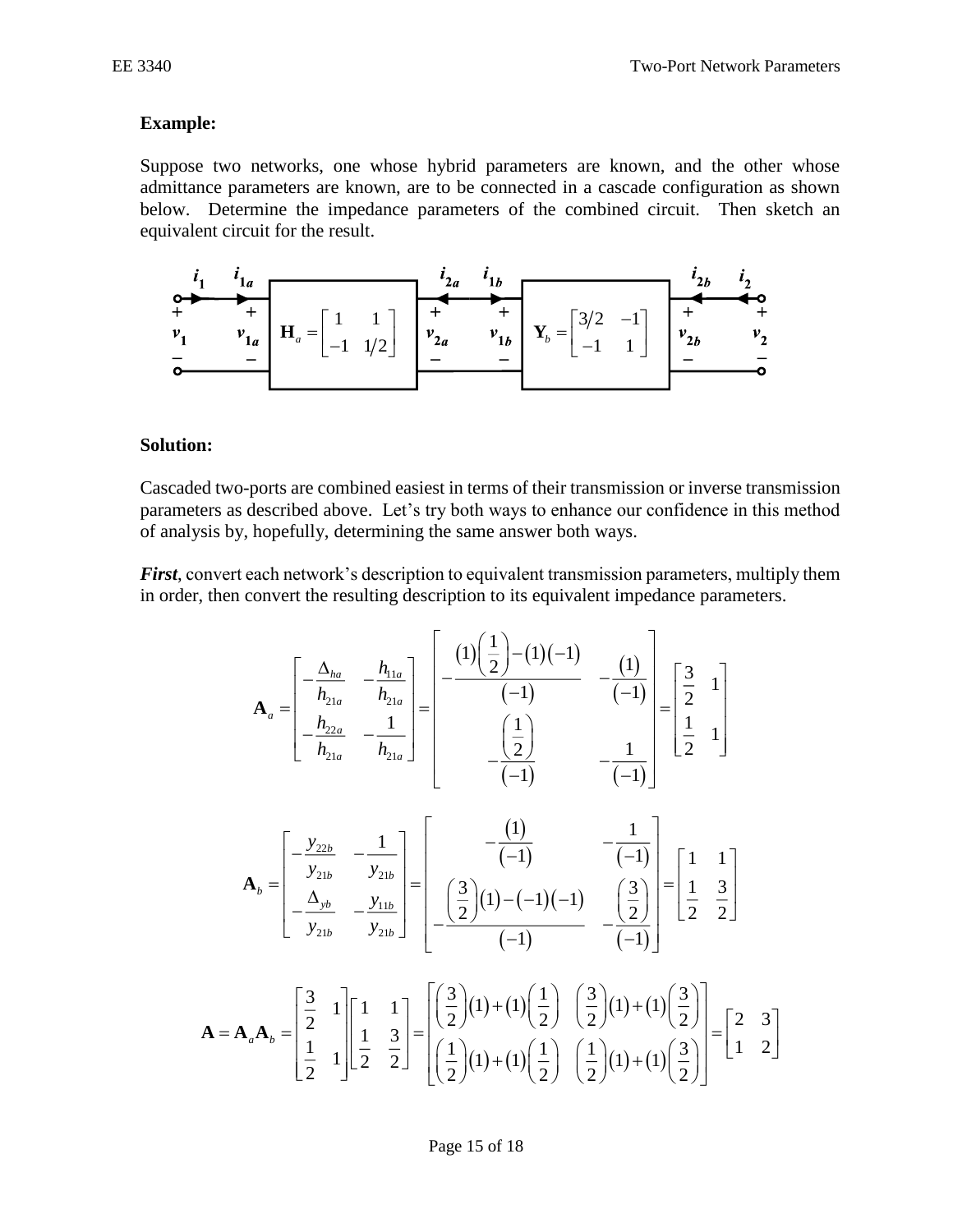### **Example:**

Suppose two networks, one whose hybrid parameters are known, and the other whose admittance parameters are known, are to be connected in a cascade configuration as shown below. Determine the impedance parameters of the combined circuit. Then sketch an equivalent circuit for the result.



#### **Solution:**

Cascaded two-ports are combined easiest in terms of their transmission or inverse transmission parameters as described above. Let's try both ways to enhance our confidence in this method of analysis by, hopefully, determining the same answer both ways.

*First*, convert each network's description to equivalent transmission parameters, multiply them in order, then convert the resulting description to its equivalent impedance parameters.

$$
\mathbf{A}_{a} = \begin{bmatrix} -\frac{\Delta_{ha}}{h_{21a}} & -\frac{h_{11a}}{h_{21a}} \\ -\frac{h_{22a}}{h_{21a}} & -\frac{1}{h_{21a}} \end{bmatrix} = \begin{bmatrix} -(1)\left(\frac{1}{2}\right) - (1)(-1) & -\left(\frac{1}{2}\right) \\ -\left(\frac{1}{2}\right) & -\left(\frac{1}{2}\right) \\ -\left(\frac{1}{2}\right) & -\frac{1}{2} \end{bmatrix} = \begin{bmatrix} \frac{3}{2} & 1 \\ \frac{1}{2} & 1 \end{bmatrix}
$$

$$
\mathbf{A}_{b} = \begin{bmatrix} -\frac{y_{22b}}{y_{21b}} & -\frac{1}{y_{21b}} \\ -\frac{\Delta_{yb}}{y_{21b}} & -\frac{y_{11b}}{y_{21b}} \end{bmatrix} = \begin{bmatrix} -\frac{1}{2} & -\frac{1}{2} \\ -\frac{1}{2} & -\frac{1}{2} \end{bmatrix} \begin{bmatrix} -\frac{1}{2} & 1 \\ -\frac{1}{2} & \frac{1}{2} \end{bmatrix}
$$

$$
\mathbf{A} = \mathbf{A}_{a} \mathbf{A}_{b} = \begin{bmatrix} \frac{3}{2} & 1 \\ \frac{1}{2} & 1 \end{bmatrix} \begin{bmatrix} 1 & 1 \\ \frac{1}{2} & \frac{3}{2} \end{bmatrix} = \begin{bmatrix} \frac{3}{2} & 1 \\ \frac{1}{2} & \frac{3}{2} \end{bmatrix} = \begin{bmatrix} \frac{3}{2} & 1 \\ \frac{1}{2} & \frac{3}{2} \end{bmatrix} = \begin{bmatrix} \frac{3}{2} & 1 \\ \frac{1}{2} & \frac{3}{2} \end{bmatrix} = \begin{bmatrix} \frac{3}{2} & 1 \\ \frac{1}{2} & \frac{3}{2} \end{bmatrix} = \begin{bmatrix} \frac{3}{2} & 1 \\ \frac{1}{2} & \frac{3}{2} \end{bmatrix} = \begin{bmatrix} \frac{3}{2} & 1 \\ \frac{1}{2} & \frac{3}{2} \end{bmatrix} = \begin{bmatrix} \frac{3}{2} & 1 \\ \frac{1}{2} & \frac{3}{2} \end{bmatrix
$$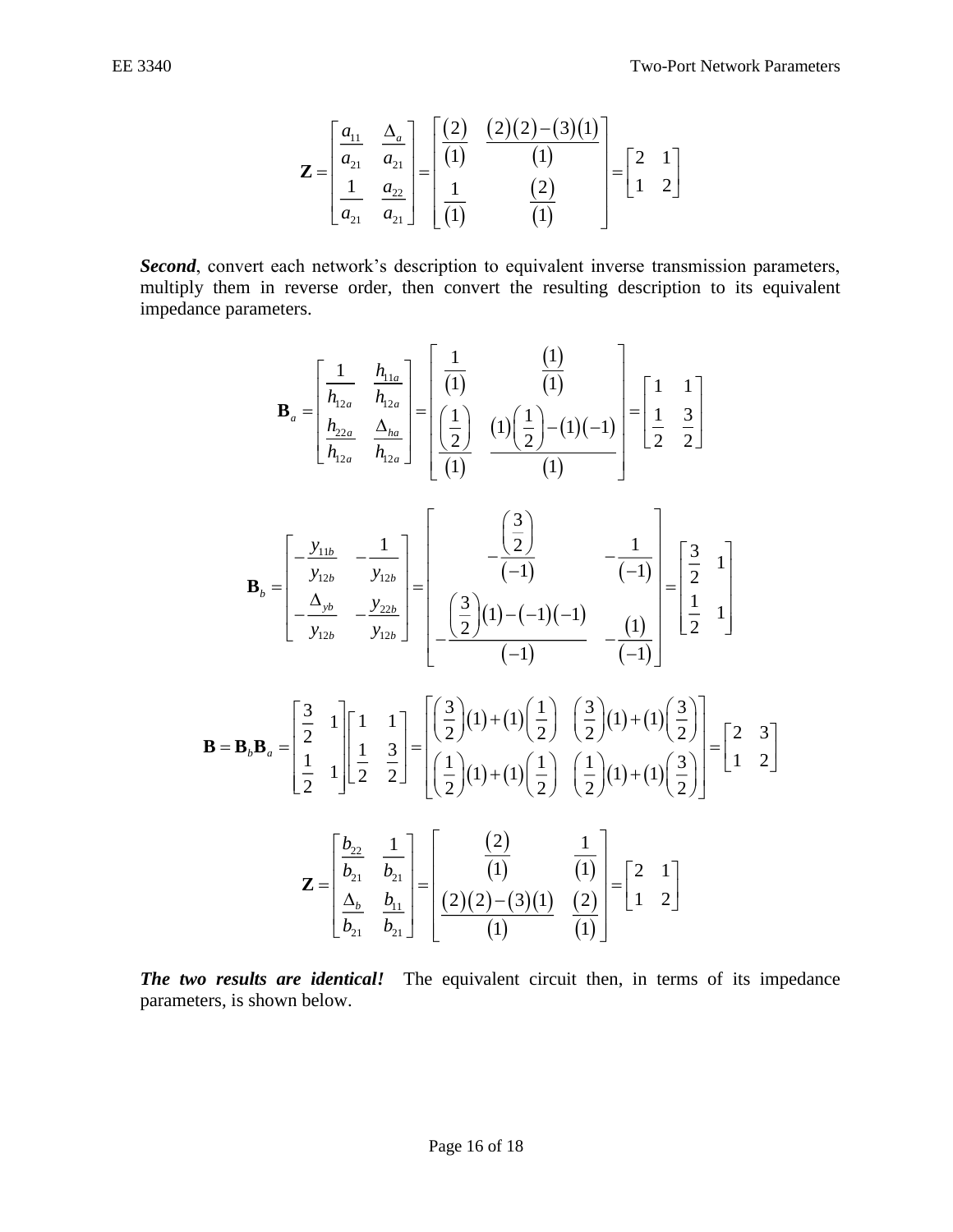$$
\mathbf{Z} = \begin{bmatrix} \frac{a_{11}}{a_{21}} & \frac{\Delta_a}{a_{21}} \\ \frac{1}{a_{21}} & \frac{a_{22}}{a_{21}} \end{bmatrix} = \begin{bmatrix} \frac{(2)}{(1)} & \frac{(2)(2)-(3)(1)}{(1)} \\ \frac{1}{(1)} & \frac{(2)}{(1)} \end{bmatrix} = \begin{bmatrix} 2 & 1 \\ 1 & 2 \end{bmatrix}
$$

*Second*, convert each network's description to equivalent inverse transmission parameters, multiply them in reverse order, then convert the resulting description to its equivalent impedance parameters.

$$
\mathbf{Z} = \begin{bmatrix} \frac{a_1}{a_2} & \frac{\Delta_a}{a_2} \\ \frac{1}{a_2} & \frac{a_2}{a_2} \end{bmatrix} = \begin{bmatrix} \frac{2}{a_2} & \frac{2}{a_2} \\ \frac{1}{a_2} & \frac{2}{a_2} \end{bmatrix} = \begin{bmatrix} 2 & 1 \\ 1 & 2 \end{bmatrix}
$$
\nconvert each network's description to equivalent inverse transmission par  
\n*t* them in reverse order, then convert the resulting description to its eq  
\nare parameters.  
\n
$$
\mathbf{B}_a = \begin{bmatrix} \frac{1}{h_{1a}} & \frac{h_{1a}}{h_{1a}} \\ \frac{h_{2a}}{h_{1a}} & \frac{\Delta_{ba}}{h_{1a}} \end{bmatrix} = \begin{bmatrix} \frac{1}{(1)} & \frac{1}{(1)} \\ \frac{1}{(1)} & \frac{1}{(1)} \end{bmatrix} = \begin{bmatrix} 1 & 1 \\ \frac{1}{2} & \frac{3}{2} \end{bmatrix}
$$
\n
$$
\mathbf{B}_b = \begin{bmatrix} -\frac{y_{11b}}{y_{12b}} & -\frac{1}{y_{12b}} \\ -\frac{\Delta_{y1b}}{y_{12b}} & -\frac{y_{12b}}{y_{12b}} \end{bmatrix} = \begin{bmatrix} -\frac{(\frac{3}{2})}{(-1)} & -\frac{1}{(-1)} \\ -\frac{(\frac{3}{2})}{(-1)} & -\frac{1}{(-1)} \end{bmatrix} = \begin{bmatrix} \frac{3}{2} & 1 \\ \frac{1}{2} & \frac{1}{2} \end{bmatrix}
$$
\n
$$
\mathbf{B} = \mathbf{B}_b \mathbf{B}_a = \begin{bmatrix} \frac{3}{2} & 1 \\ \frac{1}{2} & 1 \end{bmatrix} \begin{bmatrix} 1 & 1 \\ 1 & \frac{1}{2} \end{bmatrix} = \begin{bmatrix} (\frac{3}{2})(1) + (1)(\frac{1}{2}) & (\frac{3}{2})(1) + (1)(\frac{3}{2}) \\ -1 - 1 & -1 \end{bmatrix} = \begin{bmatrix} 3 & 1 \\ \frac{1}{2} & 1 \end{bmatrix}
$$
\n
$$
\mathbf{B} = \mathbf{B}_b \mathbf{B}_a = \begin{bmatrix}
$$

*The two results are identical!* The equivalent circuit then, in terms of its impedance parameters, is shown below.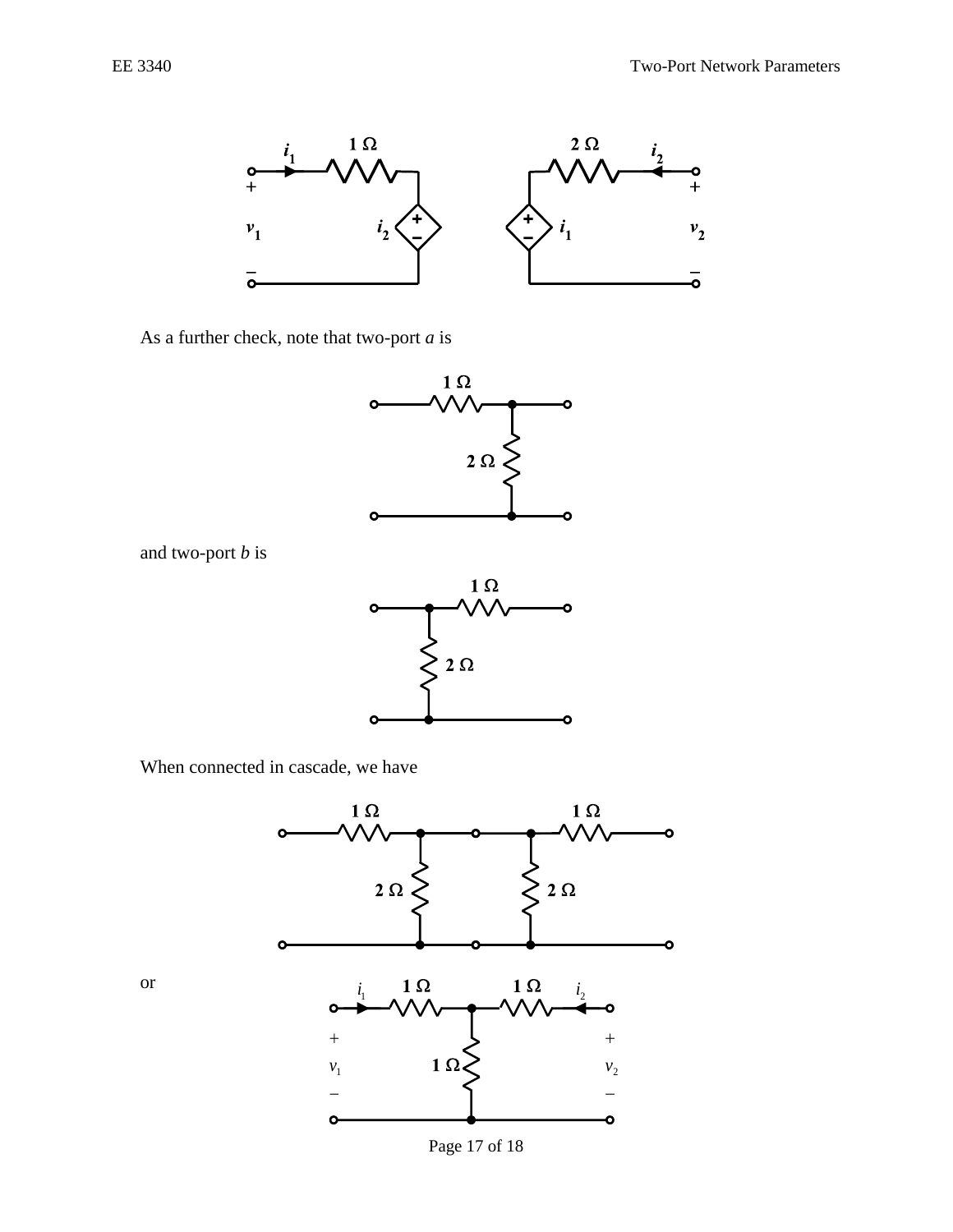



As a further check, note that two-port *a* is





When connected in cascade, we have

and two-port *b* is



or

Page 17 of 18